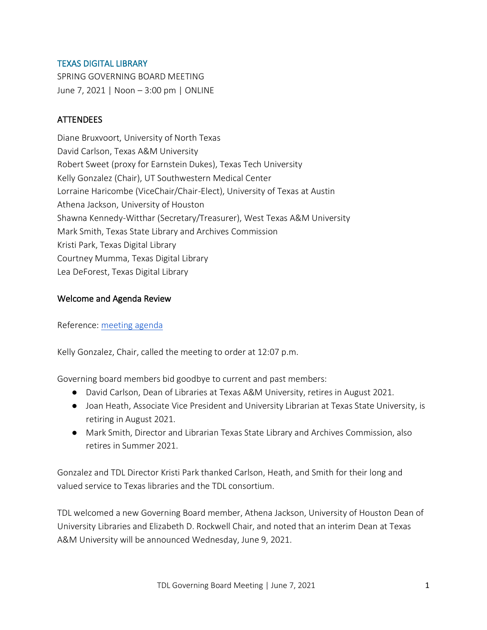### TEXAS DIGITAL LIBRARY

SPRING GOVERNING BOARD MEETING June 7, 2021 | Noon – 3:00 pm | ONLINE

# **ATTENDEES**

Diane Bruxvoort, University of North Texas David Carlson, Texas A&M University Robert Sweet (proxy for Earnstein Dukes), Texas Tech University Kelly Gonzalez (Chair), UT Southwestern Medical Center Lorraine Haricombe (ViceChair/Chair-Elect), University of Texas at Austin Athena Jackson, University of Houston Shawna Kennedy-Witthar (Secretary/Treasurer), West Texas A&M University Mark Smith, Texas State Library and Archives Commission Kristi Park, Texas Digital Library Courtney Mumma, Texas Digital Library Lea DeForest, Texas Digital Library

### Welcome and Agenda Review

Reference: [meeting agenda](https://utexas.box.com/shared/static/jbn73s33cx17vi0j5w7ngkag6m3pxc8k.pdf)

Kelly Gonzalez, Chair, called the meeting to order at 12:07 p.m.

Governing board members bid goodbye to current and past members:

- David Carlson, Dean of Libraries at Texas A&M University, retires in August 2021.
- Joan Heath, Associate Vice President and University Librarian at Texas State University, is retiring in August 2021.
- Mark Smith, Director and Librarian Texas State Library and Archives Commission, also retires in Summer 2021.

Gonzalez and TDL Director Kristi Park thanked Carlson, Heath, and Smith for their long and valued service to Texas libraries and the TDL consortium.

TDL welcomed a new Governing Board member, Athena Jackson, University of Houston Dean of University Libraries and Elizabeth D. Rockwell Chair, and noted that an interim Dean at Texas A&M University will be announced Wednesday, June 9, 2021.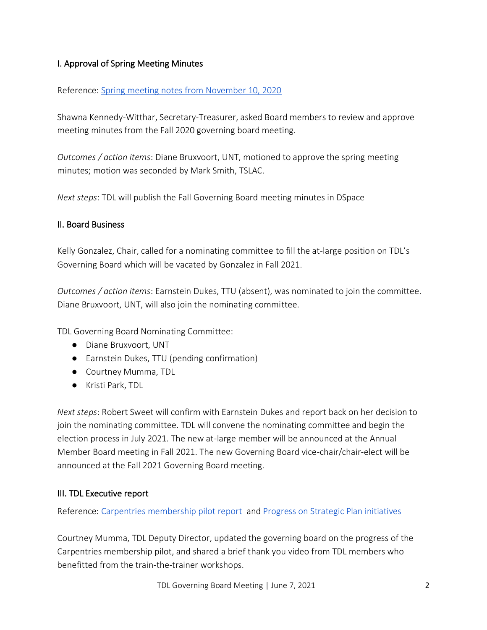# I. Approval of Spring Meeting Minutes

### Reference: [Spring meeting notes from November 10, 2020](https://utexas.box.com/s/nequd49svm9uvcuwoij9uj4gdvuan0f5)

Shawna Kennedy-Witthar, Secretary-Treasurer, asked Board members to review and approve meeting minutes from the Fall 2020 governing board meeting.

*Outcomes / action items*: Diane Bruxvoort, UNT, motioned to approve the spring meeting minutes; motion was seconded by Mark Smith, TSLAC.

*Next steps*: TDL will publish the Fall Governing Board meeting minutes in DSpace

#### II. Board Business

Kelly Gonzalez, Chair, called for a nominating committee to fill the at-large position on TDL's Governing Board which will be vacated by Gonzalez in Fall 2021.

*Outcomes / action items*: Earnstein Dukes, TTU (absent), was nominated to join the committee. Diane Bruxvoort, UNT, will also join the nominating committee.

TDL Governing Board Nominating Committee:

- Diane Bruxvoort, UNT
- Earnstein Dukes, TTU (pending confirmation)
- Courtney Mumma, TDL
- Kristi Park, TDL

*Next steps*: Robert Sweet will confirm with Earnstein Dukes and report back on her decision to join the nominating committee. TDL will convene the nominating committee and begin the election process in July 2021. The new at-large member will be announced at the Annual Member Board meeting in Fall 2021. The new Governing Board vice-chair/chair-elect will be announced at the Fall 2021 Governing Board meeting.

#### III. TDL Executive report

Reference: [Carpentries membership pilot report](https://utexas.box.com/s/mhymv8iu8b3fjmy1mkzdj1427x7irirh) and [Progress on Strategic Plan initiatives](https://utexas.box.com/s/bb9kei7eylurwxmj80ksg7bfpxbwsa1g)

Courtney Mumma, TDL Deputy Director, updated the governing board on the progress of the Carpentries membership pilot, and shared a brief thank you video from TDL members who benefitted from the train-the-trainer workshops.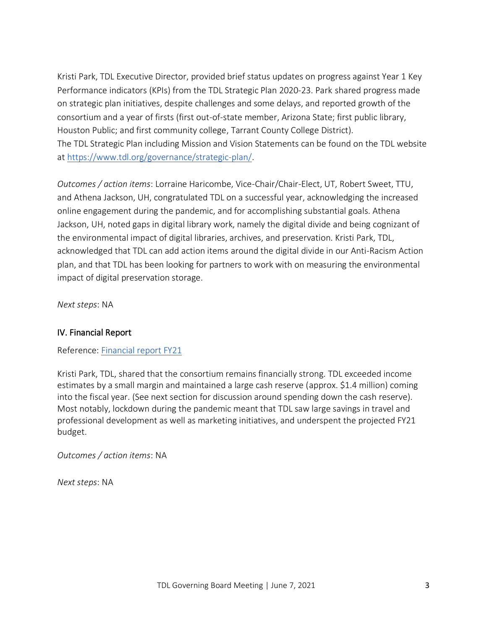Kristi Park, TDL Executive Director, provided brief status updates on progress against Year 1 Key Performance indicators (KPIs) from the TDL Strategic Plan 2020‐23. Park shared progress made on strategic plan initiatives, despite challenges and some delays, and reported growth of the consortium and a year of firsts (first out-of-state member, Arizona State; first public library, Houston Public; and first community college, Tarrant County College District). The TDL Strategic Plan including Mission and Vision Statements can be found on the TDL website at [https://www.tdl.org/governance/strategic‐plan/](https://www.tdl.org/governance/strategic%E2%80%90plan/).

*Outcomes / action items*: Lorraine Haricombe, Vice-Chair/Chair-Elect, UT, Robert Sweet, TTU, and Athena Jackson, UH, congratulated TDL on a successful year, acknowledging the increased online engagement during the pandemic, and for accomplishing substantial goals. Athena Jackson, UH, noted gaps in digital library work, namely the digital divide and being cognizant of the environmental impact of digital libraries, archives, and preservation. Kristi Park, TDL, acknowledged that TDL can add action items around the digital divide in our Anti-Racism Action plan, and that TDL has been looking for partners to work with on measuring the environmental impact of digital preservation storage.

*Next steps*: NA

#### IV. Financial Report

Reference: [Financial report FY21](https://utexas.box.com/s/qilyj1cnpuyt8dyaas1xjhu2jtp5imfy)

Kristi Park, TDL, shared that the consortium remains financially strong. TDL exceeded income estimates by a small margin and maintained a large cash reserve (approx. \$1.4 million) coming into the fiscal year. (See next section for discussion around spending down the cash reserve). Most notably, lockdown during the pandemic meant that TDL saw large savings in travel and professional development as well as marketing initiatives, and underspent the projected FY21 budget.

*Outcomes / action items*: NA

*Next steps*: NA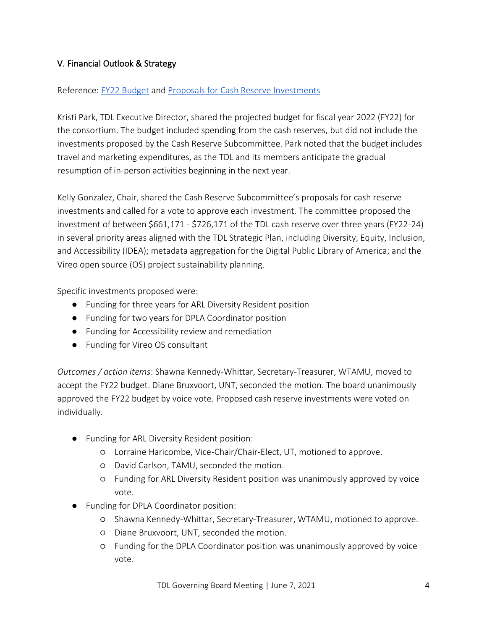# V. Financial Outlook & Strategy

### Reference: [FY22 Budget](https://utexas.box.com/s/gs63fqq9hpzsh73m1mvdlimz91vsmaeg) and [Proposals for Cash Reserve Investments](https://utexas.box.com/s/tg128jovpo8r1d1aepouvr4b230kjc46)

Kristi Park, TDL Executive Director, shared the projected budget for fiscal year 2022 (FY22) for the consortium. The budget included spending from the cash reserves, but did not include the investments proposed by the Cash Reserve Subcommittee. Park noted that the budget includes travel and marketing expenditures, as the TDL and its members anticipate the gradual resumption of in-person activities beginning in the next year.

Kelly Gonzalez, Chair, shared the Cash Reserve Subcommittee's proposals for cash reserve investments and called for a vote to approve each investment. The committee proposed the investment of between \$661,171 - \$726,171 of the TDL cash reserve over three years (FY22-24) in several priority areas aligned with the TDL Strategic Plan, including Diversity, Equity, Inclusion, and Accessibility (IDEA); metadata aggregation for the Digital Public Library of America; and the Vireo open source (OS) project sustainability planning.

Specific investments proposed were:

- Funding for three years for ARL Diversity Resident position
- Funding for two years for DPLA Coordinator position
- Funding for Accessibility review and remediation
- Funding for Vireo OS consultant

*Outcomes / action items*: Shawna Kennedy-Whittar, Secretary-Treasurer, WTAMU, moved to accept the FY22 budget. Diane Bruxvoort, UNT, seconded the motion. The board unanimously approved the FY22 budget by voice vote. Proposed cash reserve investments were voted on individually.

- Funding for ARL Diversity Resident position:
	- Lorraine Haricombe, Vice-Chair/Chair-Elect, UT, motioned to approve.
	- David Carlson, TAMU, seconded the motion.
	- Funding for ARL Diversity Resident position was unanimously approved by voice vote.
- Funding for DPLA Coordinator position:
	- Shawna Kennedy-Whittar, Secretary-Treasurer, WTAMU, motioned to approve.
	- Diane Bruxvoort, UNT, seconded the motion.
	- Funding for the DPLA Coordinator position was unanimously approved by voice vote.